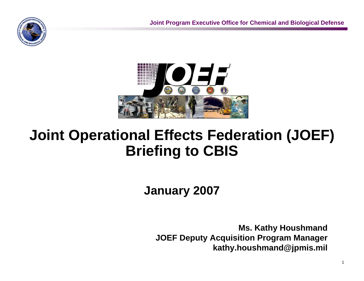

# **Joint Operational Effects Federation (JOEF) Briefing to CBIS**

**January 2007**

**Ms. Kathy Houshmand JOEF Deputy Acquisition Program Manager kathy.houshmand@jpmis.mil**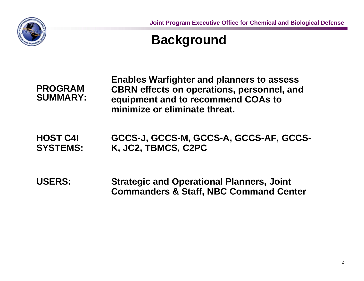

### **Background**

**PROGRAM SUMMARY:** **Enables Warfighter and planners to assess CBRN effects on operations, personnel, and equipment and to recommend COAs to minimize or eliminate threat.**

**HOST C4I SYSTEMS: GCCS-J, GCCS-M, GCCS-A, GCCS-AF, GCCS-K, JC2, TBMCS, C2PC**

**USERS: Strategic and Operational Planners, Joint Commanders & Staff, NBC Command Center**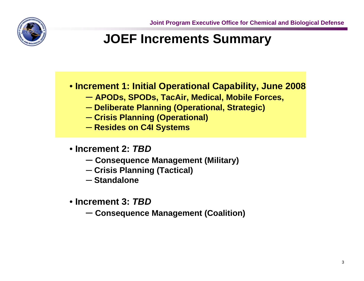

## **JOEF Increments Summary**

• **Increment 1: Initial Operational Capability, June 2008**

- ─ **APODs, SPODs, TacAir, Medical, Mobile Forces,**
- ─ **Deliberate Planning (Operational, Strategic)**
- ─ **Crisis Planning (Operational)**
- ─ **Resides on C4I Systems**
- **Increment 2:** *TBD*
	- ─ **Consequence Management (Military)**
	- ─ **Crisis Planning (Tactical)**
	- ─ **Standalone**
- **Increment 3:** *TBD*
	- ─ **Consequence Management (Coalition)**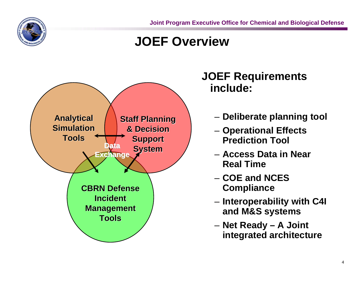

**Joint Program Executive Office for Chemical and Biological Defense**

### **JOEF Overview**



#### **JOEF Requirements include:**

- **Deliberate planning tool**
- **Operational Effects Prediction Tool**
- **Access Data in Near Real Time**
- **COE and NCES Compliance**
- **Interoperability with C4I and M&S systems**
- **Net Ready A Joint integrated architecture**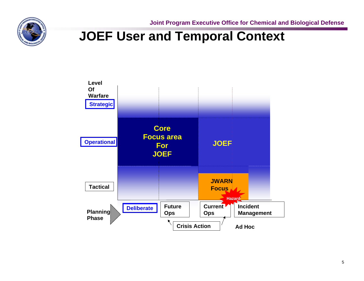

**Joint Program Executive Office for Chemical and Biological Defense**

### **JOEF User and Temporal Context**

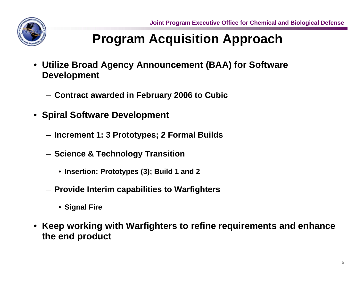# **Program Acquisition Approach**

- **Utilize Broad Agency Announcement (BAA) for Software Development**
	- **Contract awarded in February 2006 to Cubic**
- **Spiral Software Development**
	- **Increment 1: 3 Prototypes; 2 Formal Builds**
	- **Science & Technology Transition**
		- **Insertion: Prototypes (3); Build 1 and 2**
	- **Provide Interim capabilities to Warfighters**
		- **Signal Fire**
- **Keep working with Warfighters to refine requirements and enhance the end product**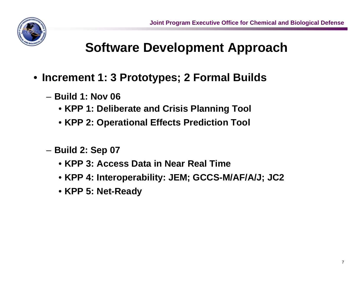# **Software Development Approach**

- **Increment 1: 3 Prototypes; 2 Formal Builds**
	- **Build 1: Nov 06**
		- **KPP 1: Deliberate and Crisis Planning Tool**
		- **KPP 2: Operational Effects Prediction Tool**
	- **Build 2: Sep 07**
		- **KPP 3: Access Data in Near Real Time**
		- **KPP 4: Interoperability: JEM; GCCS-M/AF/A/J; JC2**
		- **KPP 5: Net-Ready**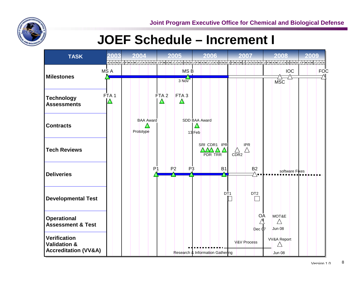

### **JOEF Schedule – Increment I**

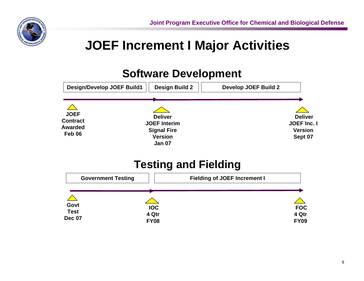

# **JOEF Increment I Major Activities**

#### **Software Development**

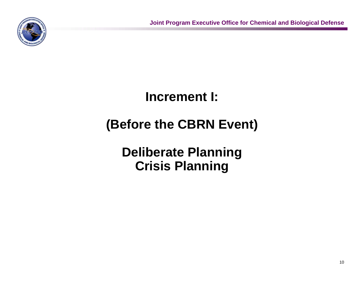

### **Increment I:**

# **(Before the CBRN Event)**

### **Deliberate Planning Crisis Planning**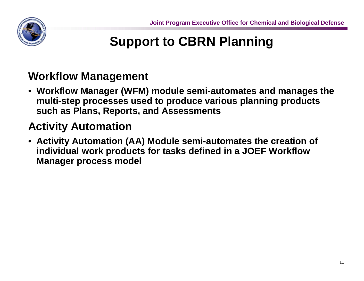

# **Support to CBRN Planning**

#### **Workflow Management**

• **Workflow Manager (WFM) module semi-automates and manages the multi-step processes used to produce various planning products such as Plans, Reports, and Assessments**

### **Activity Automation**

• **Activity Automation (AA) Module semi-automates the creation of individual work products for tasks defined in a JOEF Workflow Manager process model**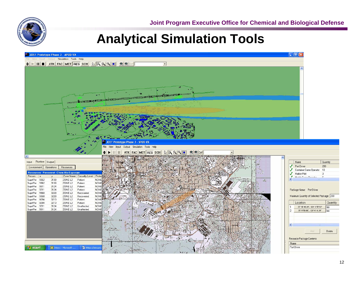### **Analytical Simulation Tools**

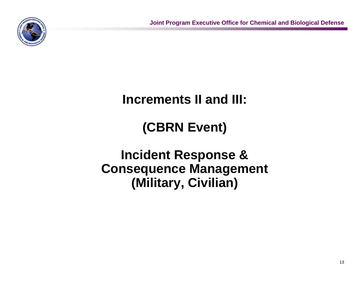

### **Increments II and III:**

# **(CBRN Event)**

### **Incident Response & Consequence Management (Military, Civilian)**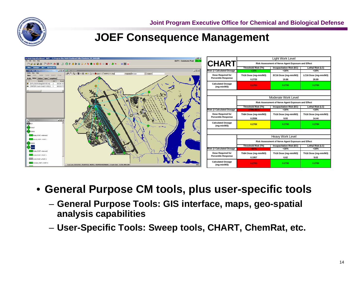

#### **JOEF Consequence Management**

| /W IWARN Digital Dashboard - BAFB - - /C/Program Files/WARN/Dashboard/ddbs/Charleston_PD_DASH.ddb<br>$ A  \times$<br>File Edit View Help<br>DUTY : Command Post ONLINE                                                                                         | <b>CHART</b>                                           | Light Work Level                                   |                                 |                       |
|----------------------------------------------------------------------------------------------------------------------------------------------------------------------------------------------------------------------------------------------------------------|--------------------------------------------------------|----------------------------------------------------|---------------------------------|-----------------------|
|                                                                                                                                                                                                                                                                |                                                        | Risk Assessment of Nerve Agent Exposure and Effect |                                 |                       |
| Map o Sweeps   o MET   o System Info                                                                                                                                                                                                                           |                                                        | Threshold Risk (Th)                                | <b>Incapacitation Risk (EC)</b> | Lethal Risk (LC)      |
| $\Box$<br>0 3 Q - 5 - + = - 2 - A EAR - FMOPPO - Find                                                                                                                                                                                                          | <b>Risk @ Calculated Dosage</b>                        | < 16%                                              | $~16\%$                         | < 16%                 |
| Projection Mercetor<br>$=$ Scale 1:<br>Apply Send Reject Print<br>Drafts Inbox Outbox Open Completed<br>Event<br>DE<br>Event ID<br>EXPLOSION Bldg(005167) A0 2<br>08:34:15<br>CRATER Crash Grid(11.659, E., 1<br>08:30:37<br>$\vert x \vert$<br><b>KNORTHE</b> | <b>Dose Required for</b><br><b>Percentile Response</b> | Th16 Dose (mg-min/M3)                              | EC16 Dose (mg-min/M3)           | LC16 Dose (mg-min/M3) |
|                                                                                                                                                                                                                                                                |                                                        | 0.2725                                             | 19.86                           | 28.89                 |
|                                                                                                                                                                                                                                                                | <b>Calculated Dosage</b><br>(mg-min/M3)                | 0.2700                                             | 0.2700                          | 0.2700                |
|                                                                                                                                                                                                                                                                | Moderate Work Level                                    |                                                    |                                 |                       |
|                                                                                                                                                                                                                                                                |                                                        | Risk Assessment of Nerve Agent Exposure and Effect |                                 |                       |
|                                                                                                                                                                                                                                                                |                                                        | Threshold Risk (Th)                                | <b>Incapacitation Risk (EC)</b> | Lethal Risk (LC)      |
|                                                                                                                                                                                                                                                                | <b>Risk @ Calculated Dosage</b>                        | $>70\% < 84\%$                                     | ~16%                            | < 16%                 |
|                                                                                                                                                                                                                                                                | <b>Dose Required for</b><br><b>Percentile Response</b> | Th84 Dose (mg-min/M3)                              | Th16 Dose (mg-min/M3)           | Th16 Dose (mg-min/M3) |
|                                                                                                                                                                                                                                                                |                                                        | 0.2936                                             | 9.93                            | 14.44                 |
|                                                                                                                                                                                                                                                                | <b>Calculated Dosage</b><br>(mg-min/M3)                | 0.2700                                             | 0.2700                          | 0.2700                |
| <b>ITHER Radio, PORT = Internal 2</b>                                                                                                                                                                                                                          |                                                        |                                                    |                                 |                       |
| MEAD MCAD, PORT + PORT 1                                                                                                                                                                                                                                       |                                                        | Heavy Work Level                                   |                                 |                       |
|                                                                                                                                                                                                                                                                |                                                        | Risk Assessment of Nerve Agent Exposure and Effect |                                 |                       |
|                                                                                                                                                                                                                                                                |                                                        | Threshold Risk (Th)                                | <b>Incapacitation Risk (EC)</b> | Lethal Risk (LC)      |
| THE Reado, PORT = Internal 2                                                                                                                                                                                                                                   | <b>Risk @ Calculated Dosage</b>                        | >84%                                               | <16%                            | <16%                  |
| <b>JOAD</b> JCAD, PORT = PORT 1                                                                                                                                                                                                                                | <b>Dose Required for</b><br><b>Percentile Response</b> | Th84 Dose (mg-min/M3)                              | Th16 Dose (mg-min/M3)           | Th16 Dose (mg-min/M3) |
| LCDS LCDS PORT = PORT 2                                                                                                                                                                                                                                        |                                                        | 0.1957                                             | 6.62                            | 9.63                  |
| M22 ACADA, PORT - PORT 3<br>Lat, Lon ( 32.52357, -93.69763) MGRS ( 15SVR3448298685) Crash Grid ( -3.228, HHL206)                                                                                                                                               | <b>Calculated Dosage</b><br>$(mq-min/M3)$              | 0.2700                                             | 0.2700                          | 0.2700                |

• **General Purpose CM tools, plus user-specific tools**

- **General Purpose Tools: GIS interface, maps, geo-spatial analysis capabilities**
- **User-Specific Tools: Sweep tools, CHART, ChemRat, etc.**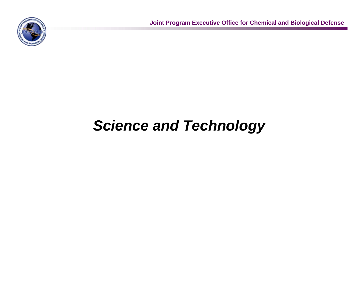

# *Science and Technology*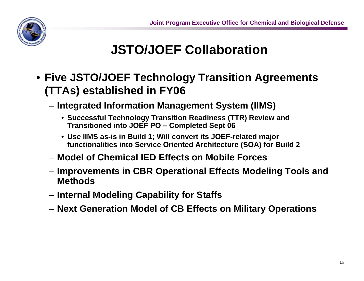

# **JSTO/JOEF Collaboration**

- **Five JSTO/JOEF Technology Transition Agreements (TTAs) established in FY06**
	- **Integrated Information Management System (IIMS)**
		- **Successful Technology Transition Readiness (TTR) Review and Transitioned into JOEF PO – Completed Sept 06**
		- **Use IIMS as-is in Build 1; Will convert its JOEF-related major functionalities into Service Oriented Architecture (SOA) for Build 2**
	- **Model of Chemical IED Effects on Mobile Forces**
	- **Improvements in CBR Operational Effects Modeling Tools and Methods**
	- **Internal Modeling Capability for Staffs**
	- **Next Generation Model of CB Effects on Military Operations**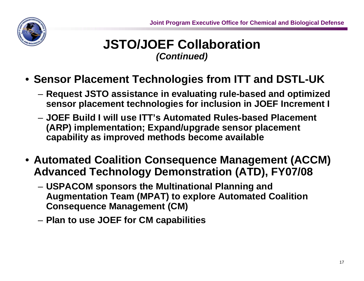#### **JSTO/JOEF Collaboration**  *(Continued)*

- **Sensor Placement Technologies from ITT and DSTL-UK**
	- **Request JSTO assistance in evaluating rule-based and optimized sensor placement technologies for inclusion in JOEF Increment I**
	- **JOEF Build I will use ITT's Automated Rules-based Placement (ARP) implementation; Expand/upgrade sensor placement capability as improved methods become available**
- **Automated Coalition Consequence Management (ACCM) Advanced Technology Demonstration (ATD), FY07/08**
	- **USPACOM sponsors the Multinational Planning and Augmentation Team (MPAT) to explore Automated Coalition Consequence Management (CM)**
	- **Plan to use JOEF for CM capabilities**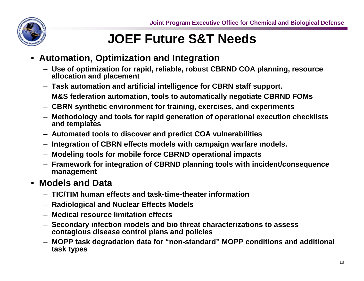

# **JOEF Future S&T Needs**

- **Automation, Optimization and Integration**
	- **Use of optimization for rapid, reliable, robust CBRND COA planning, resource allocation and placement**
	- **Task automation and artificial intelligence for CBRN staff support.**
	- **M&S federation automation, tools to automatically negotiate CBRND FOMs**
	- **CBRN synthetic environment for training, exercises, and experiments**
	- **Methodology and tools for rapid generation of operational execution checklists and templates**
	- **Automated tools to discover and predict COA vulnerabilities**
	- **Integration of CBRN effects models with campaign warfare models.**
	- **Modeling tools for mobile force CBRND operational impacts**
	- **Framework for integration of CBRND planning tools with incident/consequence management**

#### • **Models and Data**

- **TIC/TIM human effects and task-time-theater information**
- **Radiological and Nuclear Effects Models**
- **Medical resource limitation effects**
- **Secondary infection models and bio threat characterizations to assess contagious disease control plans and policies**
- **MOPP task degradation data for "non-standard" MOPP conditions and additional task types**